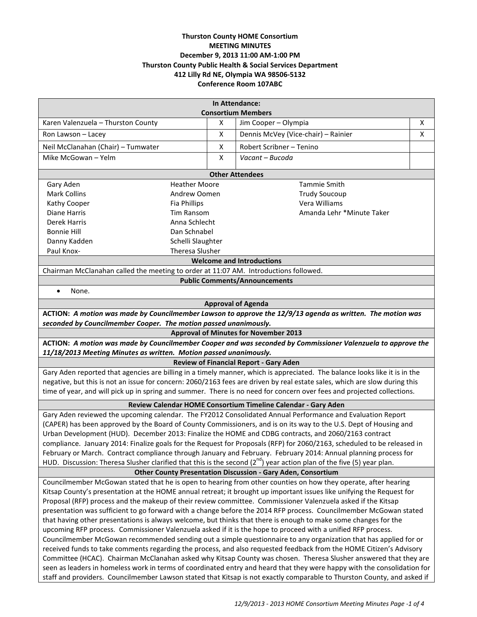# **Thurston County HOME Consortium MEETING MINUTES December 9, 2013 11:00 AM-1:00 PM Thurston County Public Health & Social Services Department 412 Lilly Rd NE, Olympia WA 98506-5132 Conference Room 107ABC**

| In Attendance:<br><b>Consortium Members</b>                                                                                                                  |                   |                                     |   |
|--------------------------------------------------------------------------------------------------------------------------------------------------------------|-------------------|-------------------------------------|---|
| Karen Valenzuela - Thurston County                                                                                                                           | X                 | Jim Cooper - Olympia                | X |
|                                                                                                                                                              | X                 |                                     |   |
| Ron Lawson - Lacey                                                                                                                                           |                   | Dennis McVey (Vice-chair) - Rainier | X |
| Neil McClanahan (Chair) - Tumwater                                                                                                                           | X                 | Robert Scribner - Tenino            |   |
| Mike McGowan - Yelm                                                                                                                                          | X                 | Vacant - Bucoda                     |   |
| <b>Other Attendees</b>                                                                                                                                       |                   |                                     |   |
| Gary Aden<br><b>Heather Moore</b><br><b>Tammie Smith</b>                                                                                                     |                   |                                     |   |
| Mark Collins<br>Andrew Oomen                                                                                                                                 |                   | <b>Trudy Soucoup</b>                |   |
| Kathy Cooper<br>Fia Phillips                                                                                                                                 |                   | Vera Williams                       |   |
| Diane Harris<br>Tim Ransom                                                                                                                                   |                   | Amanda Lehr *Minute Taker           |   |
| Derek Harris<br>Anna Schlecht                                                                                                                                |                   |                                     |   |
| <b>Bonnie Hill</b><br>Dan Schnabel                                                                                                                           |                   |                                     |   |
| Danny Kadden                                                                                                                                                 | Schelli Slaughter |                                     |   |
| Theresa Slusher<br>Paul Knox-                                                                                                                                |                   |                                     |   |
| <b>Welcome and Introductions</b>                                                                                                                             |                   |                                     |   |
| Chairman McClanahan called the meeting to order at 11:07 AM. Introductions followed.                                                                         |                   |                                     |   |
| <b>Public Comments/Announcements</b>                                                                                                                         |                   |                                     |   |
| None.<br>$\bullet$                                                                                                                                           |                   |                                     |   |
| <b>Approval of Agenda</b>                                                                                                                                    |                   |                                     |   |
| ACTION: A motion was made by Councilmember Lawson to approve the 12/9/13 agenda as written. The motion was                                                   |                   |                                     |   |
| seconded by Councilmember Cooper. The motion passed unanimously.                                                                                             |                   |                                     |   |
| <b>Approval of Minutes for November 2013</b><br>ACTION: A motion was made by Councilmember Cooper and was seconded by Commissioner Valenzuela to approve the |                   |                                     |   |
| 11/18/2013 Meeting Minutes as written. Motion passed unanimously.                                                                                            |                   |                                     |   |
| <b>Review of Financial Report - Gary Aden</b>                                                                                                                |                   |                                     |   |
| Gary Aden reported that agencies are billing in a timely manner, which is appreciated. The balance looks like it is in the                                   |                   |                                     |   |
| negative, but this is not an issue for concern: 2060/2163 fees are driven by real estate sales, which are slow during this                                   |                   |                                     |   |
| time of year, and will pick up in spring and summer. There is no need for concern over fees and projected collections.                                       |                   |                                     |   |
| Review Calendar HOME Consortium Timeline Calendar - Gary Aden                                                                                                |                   |                                     |   |
| Gary Aden reviewed the upcoming calendar. The FY2012 Consolidated Annual Performance and Evaluation Report                                                   |                   |                                     |   |
| (CAPER) has been approved by the Board of County Commissioners, and is on its way to the U.S. Dept of Housing and                                            |                   |                                     |   |
| Urban Development (HUD). December 2013: Finalize the HOME and CDBG contracts, and 2060/2163 contract                                                         |                   |                                     |   |
| compliance. January 2014: Finalize goals for the Request for Proposals (RFP) for 2060/2163, scheduled to be released in                                      |                   |                                     |   |
| February or March. Contract compliance through January and February. February 2014: Annual planning process for                                              |                   |                                     |   |
| HUD. Discussion: Theresa Slusher clarified that this is the second $(2^{nd})$ year action plan of the five (5) year plan.                                    |                   |                                     |   |
| Other County Presentation Discussion - Gary Aden, Consortium                                                                                                 |                   |                                     |   |
| Councilmember McGowan stated that he is open to hearing from other counties on how they operate, after hearing                                               |                   |                                     |   |
| Kitsap County's presentation at the HOME annual retreat; it brought up important issues like unifying the Request for                                        |                   |                                     |   |
| Proposal (RFP) process and the makeup of their review committee. Commissioner Valenzuela asked if the Kitsap                                                 |                   |                                     |   |
| presentation was sufficient to go forward with a change before the 2014 RFP process. Councilmember McGowan stated                                            |                   |                                     |   |
| that having other presentations is always welcome, but thinks that there is enough to make some changes for the                                              |                   |                                     |   |
| upcoming RFP process. Commissioner Valenzuela asked if it is the hope to proceed with a unified RFP process.                                                 |                   |                                     |   |
| Councilmember McGowan recommended sending out a simple questionnaire to any organization that has applied for or                                             |                   |                                     |   |
| received funds to take comments regarding the process, and also requested feedback from the HOME Citizen's Advisory                                          |                   |                                     |   |
| Committee (HCAC). Chairman McClanahan asked why Kitsap County was chosen. Theresa Slusher answered that they are                                             |                   |                                     |   |

Committee (HCAC). Chairman McClanahan asked why Kitsap County was chosen. Theresa Slusher answered that they are seen as leaders in homeless work in terms of coordinated entry and heard that they were happy with the consolidation for staff and providers. Councilmember Lawson stated that Kitsap is not exactly comparable to Thurston County, and asked if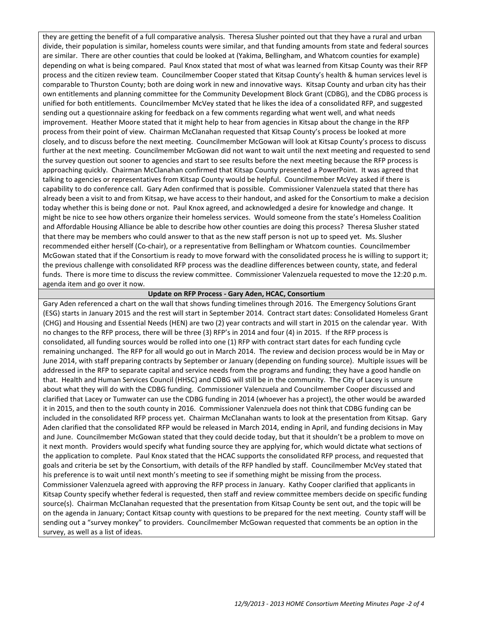they are getting the benefit of a full comparative analysis. Theresa Slusher pointed out that they have a rural and urban divide, their population is similar, homeless counts were similar, and that funding amounts from state and federal sources are similar. There are other counties that could be looked at (Yakima, Bellingham, and Whatcom counties for example) depending on what is being compared. Paul Knox stated that most of what was learned from Kitsap County was their RFP process and the citizen review team. Councilmember Cooper stated that Kitsap County's health & human services level is comparable to Thurston County; both are doing work in new and innovative ways. Kitsap County and urban city has their own entitlements and planning committee for the Community Development Block Grant (CDBG), and the CDBG process is unified for both entitlements. Councilmember McVey stated that he likes the idea of a consolidated RFP, and suggested sending out a questionnaire asking for feedback on a few comments regarding what went well, and what needs improvement. Heather Moore stated that it might help to hear from agencies in Kitsap about the change in the RFP process from their point of view. Chairman McClanahan requested that Kitsap County's process be looked at more closely, and to discuss before the next meeting. Councilmember McGowan will look at Kitsap County's process to discuss further at the next meeting. Councilmember McGowan did not want to wait until the next meeting and requested to send the survey question out sooner to agencies and start to see results before the next meeting because the RFP process is approaching quickly. Chairman McClanahan confirmed that Kitsap County presented a PowerPoint. It was agreed that talking to agencies or representatives from Kitsap County would be helpful. Councilmember McVey asked if there is capability to do conference call. Gary Aden confirmed that is possible. Commissioner Valenzuela stated that there has already been a visit to and from Kitsap, we have access to their handout, and asked for the Consortium to make a decision today whether this is being done or not. Paul Knox agreed, and acknowledged a desire for knowledge and change. It might be nice to see how others organize their homeless services. Would someone from the state's Homeless Coalition and Affordable Housing Alliance be able to describe how other counties are doing this process? Theresa Slusher stated that there may be members who could answer to that as the new staff person is not up to speed yet. Ms. Slusher recommended either herself (Co-chair), or a representative from Bellingham or Whatcom counties. Councilmember McGowan stated that if the Consortium is ready to move forward with the consolidated process he is willing to support it; the previous challenge with consolidated RFP process was the deadline differences between county, state, and federal funds. There is more time to discuss the review committee. Commissioner Valenzuela requested to move the 12:20 p.m. agenda item and go over it now.

## **Update on RFP Process - Gary Aden, HCAC, Consortium**

Gary Aden referenced a chart on the wall that shows funding timelines through 2016. The Emergency Solutions Grant (ESG) starts in January 2015 and the rest will start in September 2014. Contract start dates: Consolidated Homeless Grant (CHG) and Housing and Essential Needs (HEN) are two (2) year contracts and will start in 2015 on the calendar year. With no changes to the RFP process, there will be three (3) RFP's in 2014 and four (4) in 2015. If the RFP process is consolidated, all funding sources would be rolled into one (1) RFP with contract start dates for each funding cycle remaining unchanged. The RFP for all would go out in March 2014. The review and decision process would be in May or June 2014, with staff preparing contracts by September or January (depending on funding source). Multiple issues will be addressed in the RFP to separate capital and service needs from the programs and funding; they have a good handle on that. Health and Human Services Council (HHSC) and CDBG will still be in the community. The City of Lacey is unsure about what they will do with the CDBG funding. Commissioner Valenzuela and Councilmember Cooper discussed and clarified that Lacey or Tumwater can use the CDBG funding in 2014 (whoever has a project), the other would be awarded it in 2015, and then to the south county in 2016. Commissioner Valenzuela does not think that CDBG funding can be included in the consolidated RFP process yet. Chairman McClanahan wants to look at the presentation from Kitsap. Gary Aden clarified that the consolidated RFP would be released in March 2014, ending in April, and funding decisions in May and June. Councilmember McGowan stated that they could decide today, but that it shouldn't be a problem to move on it next month. Providers would specify what funding source they are applying for, which would dictate what sections of the application to complete. Paul Knox stated that the HCAC supports the consolidated RFP process, and requested that goals and criteria be set by the Consortium, with details of the RFP handled by staff. Councilmember McVey stated that his preference is to wait until next month's meeting to see if something might be missing from the process. Commissioner Valenzuela agreed with approving the RFP process in January. Kathy Cooper clarified that applicants in Kitsap County specify whether federal is requested, then staff and review committee members decide on specific funding source(s). Chairman McClanahan requested that the presentation from Kitsap County be sent out, and the topic will be on the agenda in January; Contact Kitsap county with questions to be prepared for the next meeting. County staff will be sending out a "survey monkey" to providers. Councilmember McGowan requested that comments be an option in the survey, as well as a list of ideas.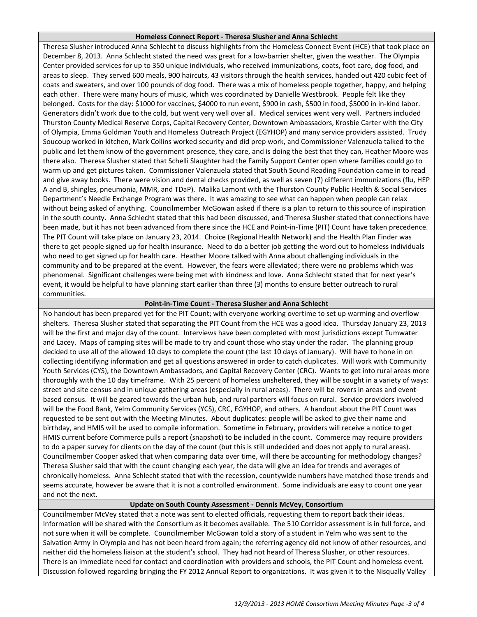#### **Homeless Connect Report - Theresa Slusher and Anna Schlecht**

Theresa Slusher introduced Anna Schlecht to discuss highlights from the Homeless Connect Event (HCE) that took place on December 8, 2013. Anna Schlecht stated the need was great for a low-barrier shelter, given the weather. The Olympia Center provided services for up to 350 unique individuals, who received immunizations, coats, foot care, dog food, and areas to sleep. They served 600 meals, 900 haircuts, 43 visitors through the health services, handed out 420 cubic feet of coats and sweaters, and over 100 pounds of dog food. There was a mix of homeless people together, happy, and helping each other. There were many hours of music, which was coordinated by Danielle Westbrook. People felt like they belonged. Costs for the day: \$1000 for vaccines, \$4000 to run event, \$900 in cash, \$500 in food, \$5000 in in-kind labor. Generators didn't work due to the cold, but went very well over all. Medical services went very well. Partners included Thurston County Medical Reserve Corps, Capital Recovery Center, Downtown Ambassadors, Krosbie Carter with the City of Olympia, Emma Goldman Youth and Homeless Outreach Project (EGYHOP) and many service providers assisted. Trudy Soucoup worked in kitchen, Mark Collins worked security and did prep work, and Commissioner Valenzuela talked to the public and let them know of the government presence, they care, and is doing the best that they can, Heather Moore was there also. Theresa Slusher stated that Schelli Slaughter had the Family Support Center open where families could go to warm up and get pictures taken. Commissioner Valenzuela stated that South Sound Reading Foundation came in to read and give away books. There were vision and dental checks provided, as well as seven (7) different immunizations (flu, HEP A and B, shingles, pneumonia, MMR, and TDaP). Malika Lamont with the Thurston County Public Health & Social Services Department's Needle Exchange Program was there. It was amazing to see what can happen when people can relax without being asked of anything. Councilmember McGowan asked if there is a plan to return to this source of inspiration in the south county. Anna Schlecht stated that this had been discussed, and Theresa Slusher stated that connections have been made, but it has not been advanced from there since the HCE and Point-in-Time (PIT) Count have taken precedence. The PIT Count will take place on January 23, 2014. Choice (Regional Health Network) and the Health Plan Finder was there to get people signed up for health insurance. Need to do a better job getting the word out to homeless individuals who need to get signed up for health care. Heather Moore talked with Anna about challenging individuals in the community and to be prepared at the event. However, the fears were alleviated; there were no problems which was phenomenal. Significant challenges were being met with kindness and love. Anna Schlecht stated that for next year's event, it would be helpful to have planning start earlier than three (3) months to ensure better outreach to rural communities.

# **Point-in-Time Count - Theresa Slusher and Anna Schlecht**

No handout has been prepared yet for the PIT Count; with everyone working overtime to set up warming and overflow shelters. Theresa Slusher stated that separating the PIT Count from the HCE was a good idea. Thursday January 23, 2013 will be the first and major day of the count. Interviews have been completed with most jurisdictions except Tumwater and Lacey. Maps of camping sites will be made to try and count those who stay under the radar. The planning group decided to use all of the allowed 10 days to complete the count (the last 10 days of January). Will have to hone in on collecting identifying information and get all questions answered in order to catch duplicates. Will work with Community Youth Services (CYS), the Downtown Ambassadors, and Capital Recovery Center (CRC). Wants to get into rural areas more thoroughly with the 10 day timeframe. With 25 percent of homeless unsheltered, they will be sought in a variety of ways: street and site census and in unique gathering areas (especially in rural areas). There will be rovers in areas and eventbased census. It will be geared towards the urban hub, and rural partners will focus on rural. Service providers involved will be the Food Bank, Yelm Community Services (YCS), CRC, EGYHOP, and others. A handout about the PIT Count was requested to be sent out with the Meeting Minutes. About duplicates: people will be asked to give their name and birthday, and HMIS will be used to compile information. Sometime in February, providers will receive a notice to get HMIS current before Commerce pulls a report (snapshot) to be included in the count. Commerce may require providers to do a paper survey for clients on the day of the count (but this is still undecided and does not apply to rural areas). Councilmember Cooper asked that when comparing data over time, will there be accounting for methodology changes? Theresa Slusher said that with the count changing each year, the data will give an idea for trends and averages of chronically homeless. Anna Schlecht stated that with the recession, countywide numbers have matched those trends and seems accurate, however be aware that it is not a controlled environment. Some individuals are easy to count one year and not the next.

# **Update on South County Assessment - Dennis McVey, Consortium**

Councilmember McVey stated that a note was sent to elected officials, requesting them to report back their ideas. Information will be shared with the Consortium as it becomes available. The 510 Corridor assessment is in full force, and not sure when it will be complete. Councilmember McGowan told a story of a student in Yelm who was sent to the Salvation Army in Olympia and has not been heard from again; the referring agency did not know of other resources, and neither did the homeless liaison at the student's school. They had not heard of Theresa Slusher, or other resources. There is an immediate need for contact and coordination with providers and schools, the PIT Count and homeless event. Discussion followed regarding bringing the FY 2012 Annual Report to organizations. It was given it to the Nisqually Valley